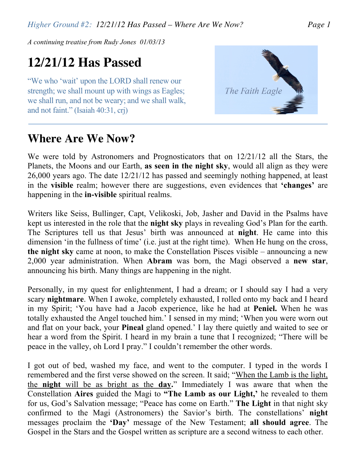*Higher Ground #2: 12/21/12 Has Passed – Where Are We Now? Page 1*

*A continuing treatise from Rudy Jones 01/03/13*

## **12/21/12 Has Passed**

"We who 'wait' upon the LORD shall renew our strength; we shall mount up with wings as Eagles; we shall run, and not be weary; and we shall walk, and not faint." (Isaiah 40:31, crj)

## **Where Are We Now?**



We were told by Astronomers and Prognosticators that on 12/21/12 all the Stars, the Planets, the Moons and our Earth, **as seen in the night sky**, would all align as they were 26,000 years ago. The date 12/21/12 has passed and seemingly nothing happened, at least in the **visible** realm; however there are suggestions, even evidences that **'changes'** are happening in the **in-visible** spiritual realms.

Writers like Seiss, Bullinger, Capt, Velikoski, Job, Jasher and David in the Psalms have kept us interested in the role that the **night sky** plays in revealing God's Plan for the earth. The Scriptures tell us that Jesus' birth was announced at **night**. He came into this dimension 'in the fullness of time' (i.e. just at the right time). When He hung on the cross, **the night sky** came at noon, to make the Constellation Pisces visible – announcing a new 2,000 year administration. When **Abram** was born, the Magi observed a **new star**, announcing his birth. Many things are happening in the night.

Personally, in my quest for enlightenment, I had a dream; or I should say I had a very scary **nightmare**. When I awoke, completely exhausted, I rolled onto my back and I heard in my Spirit; 'You have had a Jacob experience, like he had at **Peniel.** When he was totally exhausted the Angel touched him.' I sensed in my mind; 'When you were worn out and flat on your back, your **Pineal** gland opened.' I lay there quietly and waited to see or hear a word from the Spirit. I heard in my brain a tune that I recognized; "There will be peace in the valley, oh Lord I pray." I couldn't remember the other words.

I got out of bed, washed my face, and went to the computer. I typed in the words I remembered and the first verse showed on the screen. It said; "When the Lamb is the light, the **night** will be as bright as the **day.**" Immediately I was aware that when the Constellation **Aires** guided the Magi to **"The Lamb as our Light, '** he revealed to them for us, God's Salvation message; "Peace has come on Earth." **The Light** in that night sky confirmed to the Magi (Astronomers) the Savior's birth. The constellations' **night**  messages proclaim the **'Day'** message of the New Testament; **all should agree**. The Gospel in the Stars and the Gospel written as scripture are a second witness to each other.